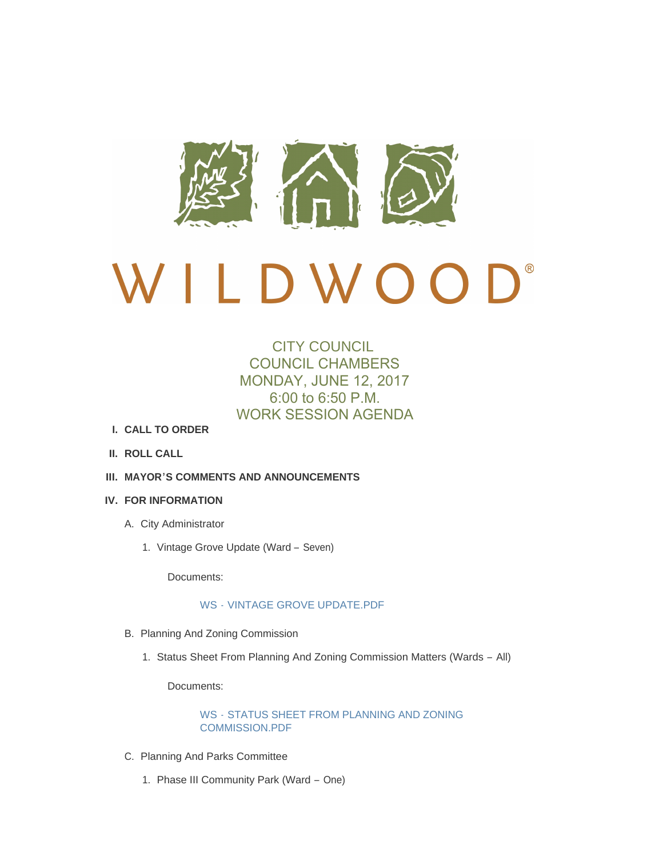

# $\bigcap$ <sup>®</sup> DWOO

# CITY COUNCIL COUNCIL CHAMBERS MONDAY, JUNE 12, 2017 6:00 to 6:50 P.M. WORK SESSION AGENDA

- **CALL TO ORDER I.**
- **ROLL CALL II.**
- **MAYOR'S COMMENTS AND ANNOUNCEMENTS III.**

# **FOR INFORMATION IV.**

- A. City Administrator
	- 1. Vintage Grove Update (Ward Seven)

Documents:

# WS - [VINTAGE GROVE UPDATE.PDF](http://cityofwildwood.com/AgendaCenter/ViewFile/Item/11100?fileID=15623)

- B. Planning And Zoning Commission
	- 1. Status Sheet From Planning And Zoning Commission Matters (Wards All)

Documents:

WS - [STATUS SHEET FROM PLANNING AND ZONING](http://cityofwildwood.com/AgendaCenter/ViewFile/Item/11102?fileID=15624)  COMMISSION.PDF

- C. Planning And Parks Committee
	- 1. Phase III Community Park (Ward One)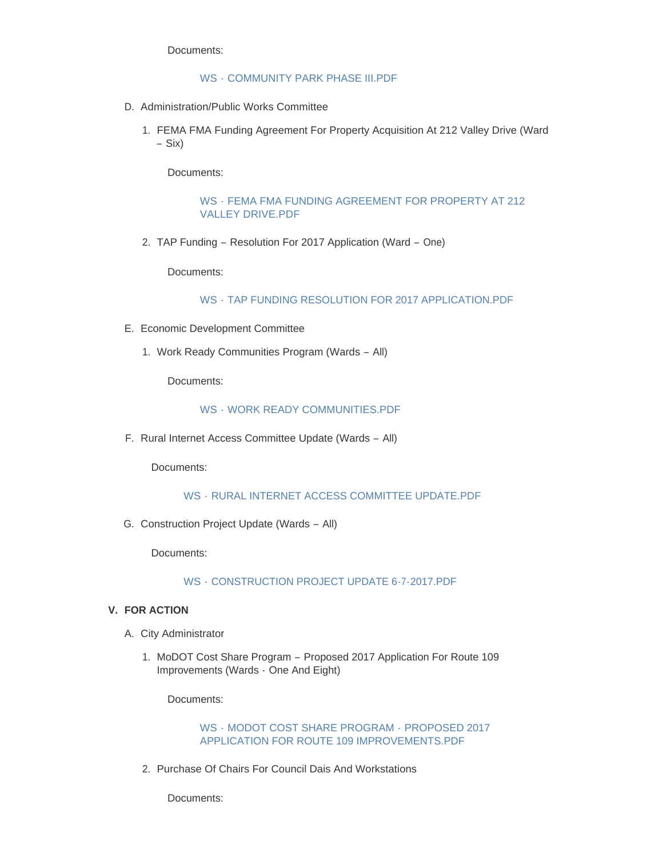Documents:

#### WS - [COMMUNITY PARK PHASE III.PDF](http://cityofwildwood.com/AgendaCenter/ViewFile/Item/11104?fileID=15634)

- D. Administration/Public Works Committee
	- 1. FEMA FMA Funding Agreement For Property Acquisition At 212 Valley Drive (Ward – Six)

Documents:

WS - [FEMA FMA FUNDING AGREEMENT FOR PROPERTY AT 212](http://cityofwildwood.com/AgendaCenter/ViewFile/Item/11106?fileID=15625)  VALLEY DRIVE.PDF

TAP Funding – Resolution For 2017 Application (Ward – One) 2.

Documents:

WS - [TAP FUNDING RESOLUTION FOR 2017 APPLICATION.PDF](http://cityofwildwood.com/AgendaCenter/ViewFile/Item/11107?fileID=15658)

- E. Economic Development Committee
	- 1. Work Ready Communities Program (Wards All)

Documents:

#### WS - [WORK READY COMMUNITIES.PDF](http://cityofwildwood.com/AgendaCenter/ViewFile/Item/11109?fileID=15626)

F. Rural Internet Access Committee Update (Wards - All)

Documents:

WS - [RURAL INTERNET ACCESS COMMITTEE UPDATE.PDF](http://cityofwildwood.com/AgendaCenter/ViewFile/Item/11110?fileID=15627)

G. Construction Project Update (Wards - All)

Documents:

WS - [CONSTRUCTION PROJECT UPDATE 6-7-2017.PDF](http://cityofwildwood.com/AgendaCenter/ViewFile/Item/11111?fileID=15628)

#### **FOR ACTION V.**

- A. City Administrator
	- 1. MoDOT Cost Share Program Proposed 2017 Application For Route 109 Improvements (Wards - One And Eight)

Documents:

WS - MODOT COST SHARE PROGRAM - PROPOSED 2017 APPLICATION FOR ROUTE 109 IMPROVEMENTS PDF

2. Purchase Of Chairs For Council Dais And Workstations

Documents: